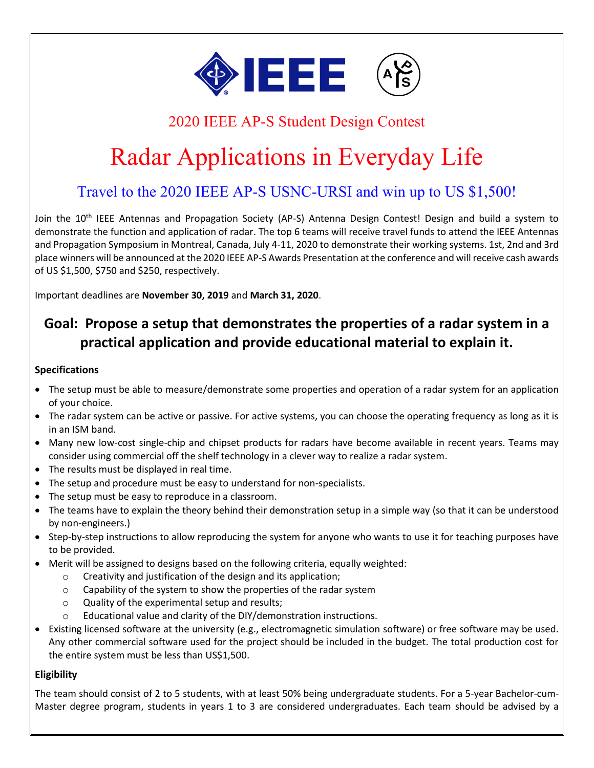

## 2020 IEEE AP-S Student Design Contest

# Radar Applications in Everyday Life

### Travel to the 2020 IEEE AP-S USNC-URSI and win up to US \$1,500!

Join the 10<sup>th</sup> IEEE Antennas and Propagation Society (AP-S) Antenna Design Contest! Design and build a system to demonstrate the function and application of radar. The top 6 teams will receive travel funds to attend the IEEE Antennas and Propagation Symposium in Montreal, Canada, July 4-11, 2020 to demonstrate their working systems. 1st, 2nd and 3rd place winners will be announced at the 2020 IEEE AP-S Awards Presentation at the conference and will receive cash awards of US \$1,500, \$750 and \$250, respectively.

Important deadlines are **November 30, 2019** and **March 31, 2020**.

## **Goal: Propose a setup that demonstrates the properties of a radar system in a practical application and provide educational material to explain it.**

#### **Specifications**

- The setup must be able to measure/demonstrate some properties and operation of a radar system for an application of your choice.
- The radar system can be active or passive. For active systems, you can choose the operating frequency as long as it is in an ISM band.
- Many new low-cost single-chip and chipset products for radars have become available in recent years. Teams may consider using commercial off the shelf technology in a clever way to realize a radar system.
- The results must be displayed in real time.
- The setup and procedure must be easy to understand for non-specialists.
- The setup must be easy to reproduce in a classroom.
- The teams have to explain the theory behind their demonstration setup in a simple way (so that it can be understood by non-engineers.)
- Step-by-step instructions to allow reproducing the system for anyone who wants to use it for teaching purposes have to be provided.
- Merit will be assigned to designs based on the following criteria, equally weighted:
	- o Creativity and justification of the design and its application;
	- $\circ$  Capability of the system to show the properties of the radar system
	- o Quality of the experimental setup and results;
	- o Educational value and clarity of the DIY/demonstration instructions.
- Existing licensed software at the university (e.g., electromagnetic simulation software) or free software may be used. Any other commercial software used for the project should be included in the budget. The total production cost for the entire system must be less than US\$1,500.

#### **Eligibility**

The team should consist of 2 to 5 students, with at least 50% being undergraduate students. For a 5-year Bachelor-cum-Master degree program, students in years 1 to 3 are considered undergraduates. Each team should be advised by a